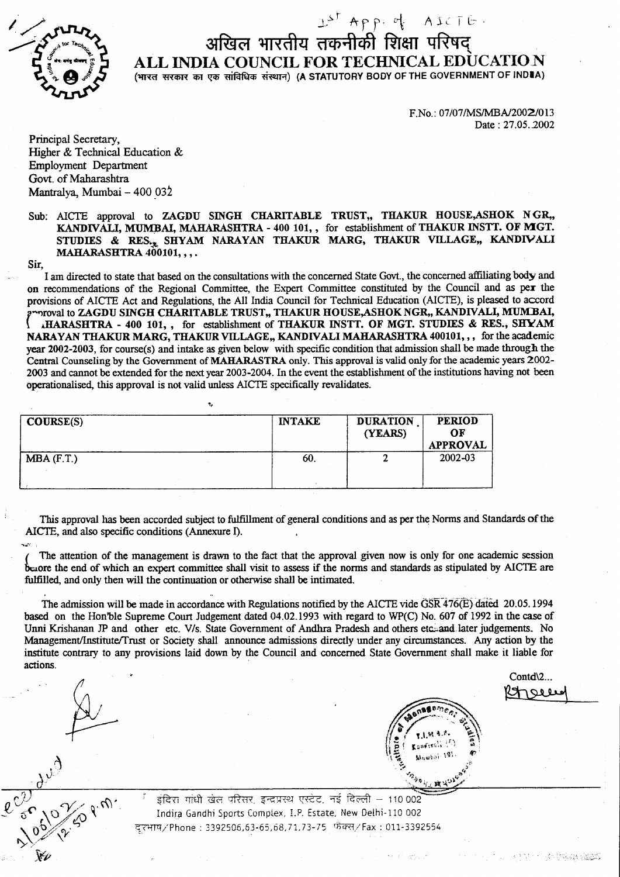

## $15^{\circ}$  App. of AICTE अखिल भारतीय तकनीकी शिक्षा परिषद ALL INDIA COUNCIL FOR TECHMCAL BDUCATION (भारत सरकार का एक सांविधिक संस्थान) (A STATUTORY BODY OF THE GOVERNMENT OF INDIA)

F.No.: 07/07/MS/MBA/2002/013 Date: 27.05.2002

Principal Secretary, Higher & Technical Education & Employment Departrnent Govt. of Maharashtra Mantralya, Mumbai - 400 032

Sub: AICTE approval to ZAGDU SINGH CHARITABLE TRUST,, THAKUR HOUSE, ASHOK NGR,, KANDIVALI, MUMBAI, MAHARASHTRA - 400 101, , for establishment of THAKUR INSTT. OF MGT. STUDIES & RES<sub>'t</sub> SHYAM NARAYAN THAKUR MARG, THAKUR VILLAGE,, KANDIVALI MAHARASHTRA 400101, , , .

Sir,

I am directed to state that based on the consultations with the concerned State Govt., the concerned affiliating body and on recommendations of the Regional Committee, the Expert Committee constituted by the Council and as per the provisions of AICTE Act and Regulations, the All India Council for Technical Education (AICTE), is pleased to accord proval to ZAGDU SINGH CHARITABLE TRUST,, THAKUR HOUSE, ASHOK NGR., KANDIVALI, MUMBAI, IHARASHTRA - 400 101,, for establishment of THAKUR INSTT. OF MGT. STUDIES & RES., SHYAM NARAYAN THAKUR MARG, THAKUR VILLAGE,, KANDIVALI MAHARASHTRA 400101,,, for the academic year 2002-2003, for course(s) and intake as given below with specific condition that admission shall be made through the Central Counseling by the Government of MAHARASTRA only. This apprwal is valid only for the academic years 2002- 2003 and cannot be extended for the next year 2003-2004. In the event the establishment of the institutions having not been operationalised, this approval is not valid unless AICTE specifically revalidates.

| COUSSE(S)    | <b>INTAKE</b> | <b>DURATION</b><br>(YEARS) | <b>PERIOD</b><br>OF<br><b>APPROVAL</b> |
|--------------|---------------|----------------------------|----------------------------------------|
| $MBA$ (F.T.) | 60.           |                            | 2002-03                                |

This approval has been accorded subject to fulfillment of general conditions and as per the Norms and Standards of the AICIE, and also specific conditions (Annexure I).

The attention of the management is drawn to the fact that the approval given now is only for one academic session but the end of which an expert committee shall visit to assess if the norms and standards as stipulated by AICTE are fulfilled, and only then will the continuation or otherwise shall be intimated.

The admission will be made in accordance with Regulations notified by the AICTE vide GSR 476(E) dated 20.05. 1994 based on the Hon'ble Supreme Court Judgement dated 04.02.1993 with regard to WP(C) No. 607 of 1992 in the case of Unni Krishanan JP and other etc. V/s. State Government of Andhra Pradesh and others etc. and later judgements. No Management/Institute/Trust or Society shall announce admissions directly under any circumstances. Any action by the institute contrary to any provisions laid down by the Council and concerned State Government shall make it liable for actions.

Contd\2...



 $\ell$ 

Yt"



**0010-19** 

 $\frac{1}{5}$ दिरा गांधी खेल परिसर, इन्द्रप्रस्थ एस्टेट, नई दिल्ली – 110002 Indira Gandhi Sports Complex, I.P. Estate, New Delhi-110 002 व्हरभाष/'Phone : 3392506,63-65,68,71,73-75 फ़ैक्स/Fax : 011-3392554